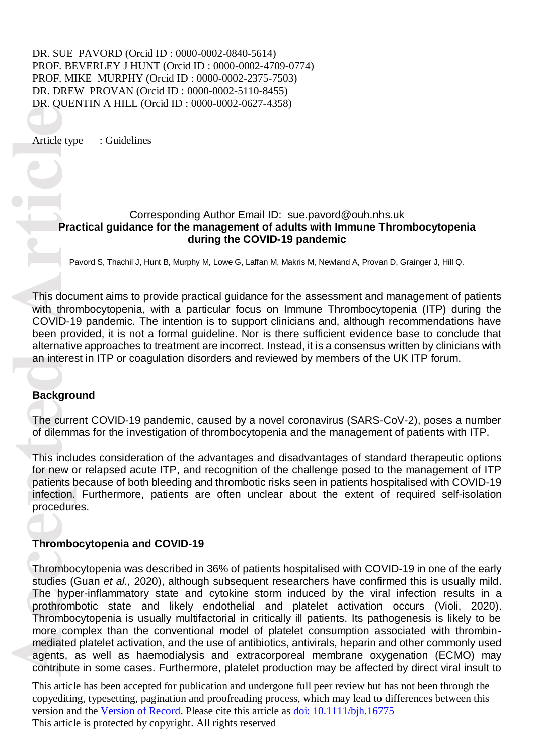DR. SUE PAVORD (Orcid ID: 0000-0002-0840-5614) PROF. BEVERLEY J HUNT (Orcid ID: 0000-0002-4709-0774) PROF. MIKE MURPHY (Orcid ID: 0000-0002-2375-7503) DR. DREW PROVAN (Orcid ID: 0000-0002-5110-8455) DR. QUENTIN A HILL (Orcid ID : 0000 -0002 -0627 -4358)

Article type : Guidelines

#### Corresponding Author Email ID: [sue.pavord@ouh.nhs.uk](mailto:sue.pavord@ouh.nhs.uk) Practical guidance for the management of adults with Immune Thrombocytopenia **during the COVID -19 pandemic**

Pavord S, Thachil J, Hunt B, Murphy M, Lowe G, Laffan M, Makris M, Newland A, Provan D, Grainger J, Hill Q.

This document aims to provide practical guidance for the assessment and management of patients with thrombocytopenia, with a particular focus on Immune Thrombocytopenia (ITP) during the COVID -19 pandemic. The intention is to support clinicians and, although recommendations have been provided, it is not a formal guideline. Nor is there sufficient evidence base to conclude that alternative approaches to treatment are incorrect. Instead, it is a consensus written by clinicians with an interest in ITP or coagulation disorders and reviewed by members of the UK ITP forum.

#### **Background**

The current COVID-19 pandemic, caused by a novel coronavirus (SARS-CoV-2), poses a number of dilemmas for the investigation of thrombocytopenia and the management of patients with ITP.

This includes consideration of the advantages and disadvantages of standard therapeutic options for new or relapsed acute ITP, and recognition of the challenge posed to the management of ITP patients because of both bleeding and thrombotic risks seen in patients hospitalised with COVID -19 infection. Furthermore, patients are often unclear about the extent of required self-isolation procedures.

#### **Thrombocytopenia and COVID -19**

**Article type Article**<br> **Article type Article**<br> **Pra**<br> **Pra**<br> **Pra**<br> **Pra**<br> **Pra**<br> **Pra**<br> **Pra**<br> **Pra**<br> **Pra**<br> **Pra**<br> **Pra**<br> **Pra**<br> **Pra**<br> **Pra**<br> **Praction**<br> **Drabally and the Curre of dilemm<br>
<b>This includes**<br> **Procedure**<br> Thrombocytopenia was described in 36% of patients hospitalised with COVID -19 in one of the early studies (Guan et al., 2020), although subsequent researchers have confirmed this is usually mild. The hyper -inflammatory state and cytokine storm induced by the viral infection results in a prothrombotic state and likely endothelial and platelet activation occurs (Violi, 2020) . Thrombocytopenia is usually multifactorial in critically ill patients. Its pathogenesis is likely to be more complex than the conventional model of platelet consumption associated with thrombin mediated platelet activation, and the use of antibiotics, antivirals, heparin and other commonly used agents, as well as haemodialysis and extracorporeal membrane oxygenation (ECMO ) may contri bute in some cases. Furthermore, platelet production may be affected by direct viral insult to

This article has been accepted for publication and undergone full peer review but has not been through the copyediting, typesetting, pagination and proofreading process, which may lead to differences between this version and the Version of Record. Please cite this article as doi: 10.1111/bjh.16775 This article is protected by copyright. All rights reserved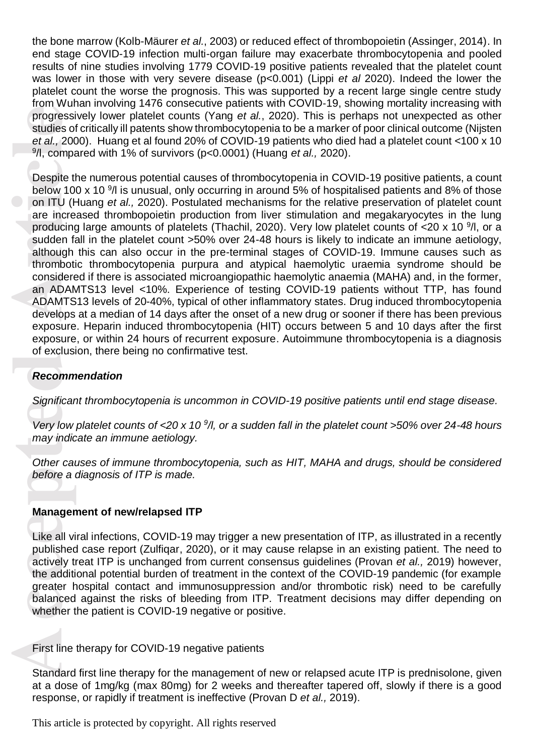the bone marrow (Kolb-Mäurer et al., 2003) or reduced effect of thrombopoietin (Assinger, 2014). In end stage COVID-19 infection multi-organ failure may exacerbate thrombocytopenia and pooled results of nine studies involving 1779 COVID-19 positive patients revealed that the platelet count was lower in those with very severe disease (p<0.001) (Lippi *et al* 2020 ). Indeed the lower the platelet count the worse the prognosis. This was supported by a recent large single centre study from Wuhan involving 1476 consecutive patients with COVID ‐19, showing mortality increasing with progressively lower platelet counts (Yang *et al.*, 2020). This is perhaps not unexpected as other studies of critically ill patents show thrombocytopenia to be a marker of poor clinical outcome (Nijsten et al., 2000). Huang et al found 20% of COVID-19 patients who died had a platelet count <100 x 10 9 /l, compared with 1% of survivors (p<0.0001) (Huang *et al.,* 2020) .

France Progressi<br>
studies of<br> *A.* 200<br> *A.* 200<br> *A.* Comparable 10<br>
Despite 11<br>
below 10<br>
on ITU (*H*<br>
are incre<br>
producing<br>
sudden falthough<br>
thromboti<br>
considere<br>
an ADAMTS<br>
develops<br>
exposure<br>
exposure<br>
exposure<br>
of e Despite the numerous potential causes of thrombocytopenia in COVID-19 positive patients, a count below 100 x 10 <sup>9</sup>/l is unusual, only occurring in around 5% of hospitalised patients and 8% of those on ITU (Huang et al., 2020). Postulated mechanisms for the relative preservation of platelet count are increased thrombopoietin production from liver stimulation and megakaryocytes in the lung producing large amounts of platelets (Thachil, 2020). Very low platelet counts of <20 x 10 <sup>9</sup>/l, or a sudden fall in the platelet count >50% over 24-48 hours is likely to indicate an immune aetiology, although this can also occur in the pre -terminal stages of COVID -19. Immune causes such as thrombotic thrombocytopenia purpura and atypical haemolytic uraemia syndrome should be considered if there is associated microangiopathic haemolytic anaemia (MAHA) and, in the former, an ADAMTS13 level <10%. Experience of testing COVID-19 patients without TTP, has found ADAMTS13 levels of 20 -40%, typical of other inflammatory states. Drug induced thrombocytopenia develops at a median of 14 days after the onset of a new drug or sooner if there has been previous exposure. Heparin induced thrombocytopenia (HIT) occurs between 5 and 10 days after the first exposure, or within 24 hours of recurrent exposure. Autoimmune thrombocytopenia is a diagnosis of exclusion, there being no confirmative test.

### *Recommendation*

*Significant thrombocytopenia is uncommon in COVID -19 positive patients until end stage disease.* 

*Very low platelet counts of <20 x 10<sup>9</sup>/l, or a sudden fall in the platelet count >50% over 24-48 hours may indicate an immune aetiology.*

*Other causes of immune thrombocytopenia, such as HIT, MAHA and drugs, should be considered before a diagnosis of ITP is made.* 

#### **Managemen t of new/relapsed ITP**

Like all viral infections, COVID -19 may trigger a new presentation of ITP, as illustrated in a recently published case report (Zulfiqar , 2020), or it may cause relapse in an existing patient. The need to actively treat ITP is unchanged from current consensus guidelines (Provan *et al. ,* 2019) however, the additional potential burden of treatment in the context of the COVID -19 pandemic (for example greater hospital contact and immunosuppression and/or thrombotic risk) need to be carefully balanced against the risks of bleeding from ITP. Treatment decisions may differ depending on whether the patient is COVID -19 negative or positive.

First line therapy for COVID -19 negative patients

Standard first line therapy for the management of new or relapsed acute ITP is prednisolone, given at a dose of 1mg/kg (max 80mg) for 2 weeks and thereafter tapered off , slowly if there is a good response, or rapidly if treatment is ineffective (Provan D *et al .,* 2019).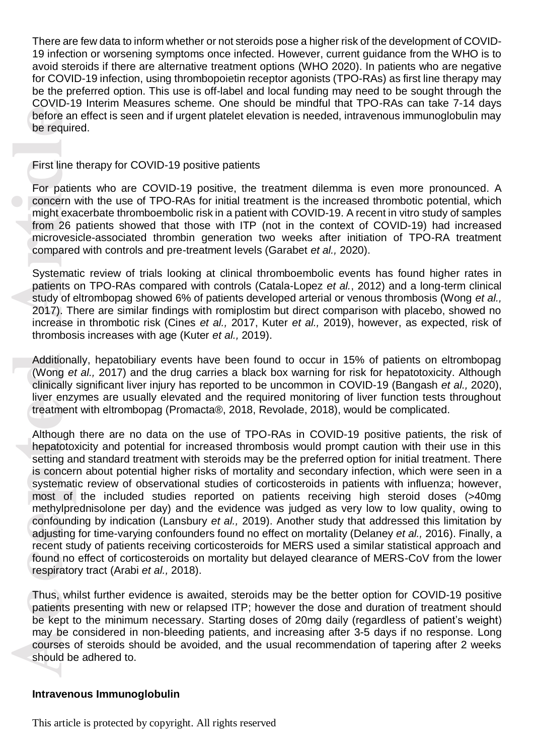There are few data to inform whether or not steroids pose a higher risk of the development of COVID - 19 infection or worsening symptoms once infected. However, current guidance from the WHO is to avoid steroids if there are alternative treatment options (WHO 2020). In patients who are negative for COVID-19 infection, using thrombopoietin receptor agonists (TPO-RAs) as first line therapy may be the preferred option. This use is off-label and local funding may need to be sought through the COVID -19 Interim Measures scheme. One should be mindful that TPO -RAs can take 7 -14 days before an effect is seen and if urgent platelet elevation is needed, intravenous immunoglobulin may be required.

First line therapy for COVID -19 positive patients

For patients who are COVID-19 positive, the treatment dilemma is even more pronounced. A concern with the use of TPO -RAs for initial treatment is the increased thrombotic potential, which might exacerbate thromboembolic risk in a patient with COVID -19. A recent in vitro study of samples from 26 patients showed that those with ITP (not in the context of COVID-19) had increased microvesicle -associated thrombin generation two weeks after initiation of TPO -RA treatment compared with controls and pre -treatment levels (Garabet *et al.,* 2020).

Systematic review of trials looking at clinical thromboembolic events has found higher rates in patients on TPO-RAs compared with controls (Catala-Lopez *et al.*, 2012) and a long-term clinical study of eltrombopag showed 6% of patients developed arterial or venous thrombosis (Wong *et al.,*  2017). There are similar findings with romiplostim but direct comparison with placebo, showed no increase in thrombotic risk (Cines *et al.,* 2017, Kuter *et al.,* 2019), however, as expected, risk of thrombosis increases with age (Kuter *et al.,* 2019).

Additionally, hepatobiliary events have been found to occur in 15% of patients on eltrombopag (Wong *et al.,* 2017) and the drug carries a black box warning for risk for hepatotoxicity. Although clinically significant liver injury has reported to be uncommon in COVID -19 (Bangash *et al.,* 2020), liver enzymes are usually elevated and the required monitoring of liver function tests throughout treatment with eltrombopag (Promacta®, 2018, Revolade, 2018), would be complicated.

before ar<br>before ar<br>before ar<br>First line<br>For patie<br>concern vight exaction<br>might exaction 26<br>microves<br>compared<br>Systemat patients (study of 4<br>2017). The increase<br>thrombos<br>Additiona (Wong elinically<br>liver enzy<br>treatment<br>Altho Although there are no data on the use of TPO -RAs in COVID -19 positive patients, the risk of hepatotoxicity and potential for increased thrombosis would prompt caution with their use in this setting and standard treatment with steroids may be the preferred option for initial treatment. There is concern about potential higher risks of mortality and secondary infection , which were seen in a systematic review of observational studies of corticosteroids in patients with influenza; however, most of the included studies reported on patients receiving high steroid doses (>40mg methylprednisolone per day) and the evidence was judged as very low to low quality, owing to confounding by indication (Lansbury *et al.*, 2019). Another study that addressed this limitation by adjusting for time-varying confounders found no effect on mortality (Delaney *et al.,* 2016). Finally, a recent study of patients receiving corticosteroids for MERS used a similar statistical approach and found no effect of corticosteroids on mortality but delayed clearance of MERS -CoV from the lower respiratory tract (Arabi *et al . ,* 2018).

Thus, whilst further evidence is awaited, steroids may be the better option for COVID-19 positive patients presenting with new or relapsed ITP ; however the dose and duration of treatment should be kept to the minimum necessary. Starting doses of 20mg daily (regardless of patient's weight) may be considered in non-bleeding patients, and increasing after 3-5 days if no response. Long courses of steroids should be avoided, and the usual recommendation of tapering after 2 weeks should be adhered to.

#### **Intravenous Immunoglobulin**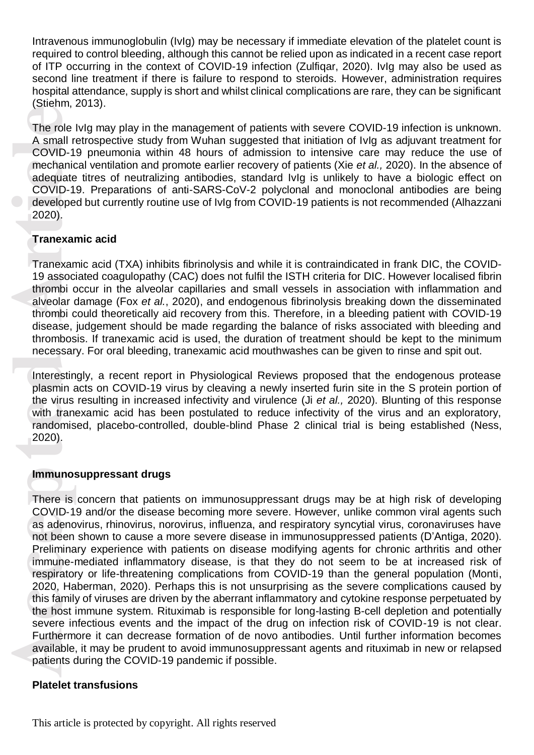Intravenous immunoglobulin (IvIg) may be necessary if immediate elevation of the platelet count is required to control bleeding, although this cannot be relied upon as indicated in a recent case report of ITP occurring in the context of COVID -19 infection (Zulfiqar, 2020). IvIg may also be used as second line treatment if there is failure to respond to steroids. However, administration requires hospital attendance, supply is short and whilst clinical complications are rare, they can be significant (Stiehm, 2013).

The role IvIg may play in the management of patients with severe COVID -19 infection is unknown. A small retrospective study from Wuhan suggested that initiation of I vIg as adjuvant treatment for COVID -19 pneumonia within 48 hours of admission to intensive care may reduce the use of mechanical ventilation and promote earlier recovery of patients (Xie *et al .,* 2020). In the absence of adequate titres of neutralizing antibodies, standard IvIg is unlikely to have a biologic e ffect on COVID-19. Preparations of anti-SARS-CoV-2 polyclonal and monoclonal antibodies are being developed but currently routine use of IvIg from COVID -19 patients is not recommended (Alhaz zani 2020) .

## **Tranexamic acid**

Tranexamic acid (TXA) inhibits fibrinolysis and while it is contraindicated in frank DIC, the COVID - 19 associated coagulopathy (CAC) does not fulfil the ISTH criteria for DIC. However localised fibrin thrombi occur in the alveolar capillaries and small vessels in association with inflammation and alveolar damage (Fox *et al .*, 2020), and endogenous fibrinolysis breaking down the disseminated thrombi could theoretically aid recovery from this. Therefore, in a bleeding patient with COVID -19 disease, judgement should be made regarding the balance of risks associated with bleeding and thrombosis. If tranexamic acid is used, the duration of treatment should be kept to the minimum necessary. For oral bleeding, tranexamic acid mouthwashes can be given to rinse and spit out.<br>Interestingly, a recent report in Physiological Reviews proposed that the endogenous protease

plasmin acts on COVID -19 virus by cleaving a newly inserted furin site in the S protein portion of the virus resulting in increased infectivity and virulence (Ji *et al.,* 2020). Blunting of this response with tranexamic acid has been postulated to reduce infectivity of the virus and an exploratory, randomised, placebo-controlled, double-blind Phase 2 clinical trial is being established (Ness, 2020) .

#### **Immunosuppressant drugs**

The role<br>
A small r<br>
COVID-1<br>
mechanic<br>
adequate<br>
COVID-1<br>
develope<br>
2020).<br> **Tranexar**<br>
Tranexar<br>
Tranexar<br>
Tranexar<br>
19 assoc<br>
thrombi c<br>
disease, thrombi c<br>
disease, thrombis<br>
disease, thrombos<br>
mecessar<br>
Interestin<br>
pl There is concern that patients on immunosuppressant drugs may be at high risk of developing COVID ‐19 and/or the disease becoming more severe. However, unlike common viral agents such as adenovirus, rhinovirus, norovirus, influenza, and respiratory syncytial virus, coronaviruses have not been shown to cause a more severe disease in immunosuppressed patients (D'Antiga, 2020) . Preliminary experience with patients on disease modifying agents for chronic arthritis and other immune -mediated inflammatory disease, is that they do not seem to be at increased risk of respiratory or life-threatening complications from COVID-19 than the general population (Monti, 2020, Haberman, 2020 ). Perhaps this is not unsurprising as the severe complications caused by this family of viruses are driven by the aberrant inflammatory and cytokine response perpetuated by the host immune system. Rituximab is responsible for long -lasting B -cell depletion and potentially severe infectious events and the impact of the drug on infection risk of COVID-19 is not clear. Furthermore it can decrease formation of de novo antibodies. Until further information becomes available, it may be prudent to avoid immunosuppressant agents and rituximab in new or relapsed patients during the COVID -19 pandemic if possible.

#### **Platelet transfusions**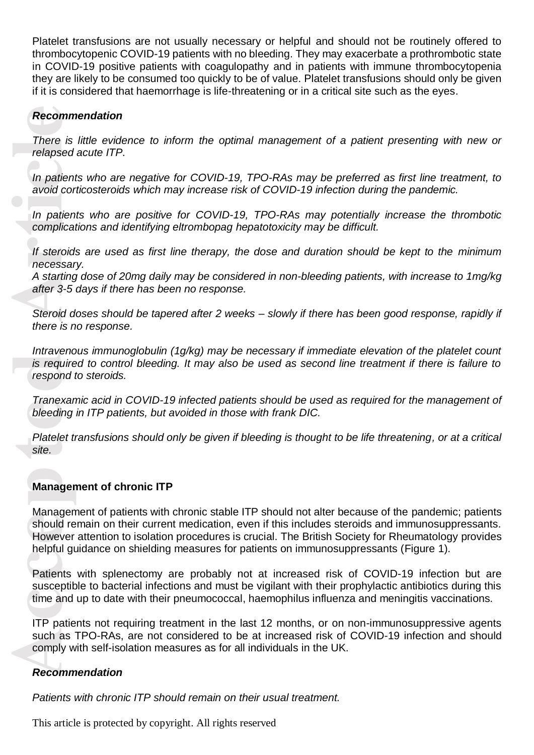Platelet transfusions are not usually necessary or helpful and should not be routinely offered to thrombocytopenic COVID -19 patients with no bleeding. They may exacerbate a prothrombotic state in COVID -19 positive patients with coagulopathy and in patients with immune thrombocytopenia they are likely to be consumed too quickly to be of value. Platelet transfusions should only be given if it is considered that haemorrhage is life-threatening or in a critical site such as the eyes.

# *Recommendation*

*There is little evidence to inform the optimal management of a patient presenting with new or relapsed acute ITP .*

*In patients who are negative for COVID -19, TPO -RAs may be preferred as first line treatment, to avoid corticosteroids which may increase risk of COVID -19 infection during the pandemic.*

*In patients who are positive for COVID -19, TPO -RAs may potentially increase the thrombotic complications and identifying eltrombopag hepatotoxicity may be difficult.* 

*If steroids are used as first line therapy, the dose and duration should be kept to the minimum necessary.*

*A starting dose of 20mg daily may be considered in non -bleeding patients, with increase to 1mg/kg after 3 -5 days if there has been no response.* 

*Steroid doses should be tapered after 2 weeks – slowly if there has been good response, rapidly if there is no response .*

*Intravenous immunoglobulin (1g/kg) may be necessary if immediate elevation of the platelet count is required to control bleeding. It may also be used as second line treatment if there is failure to respond to steroids.*

*Tranexamic acid in COVID -19 infected patients should be used as required for the management of bleeding in ITP patients, but avoided in those with frank DIC .*

*Platelet transfusions should only be given if bleeding is thought to be life threatening, or at a critical site.* 

## **Management of chronic ITP**

**Recomm**<br>
There is<br>
relapsed<br>
In patien<br>
avoid cor<br>
In patien<br>
complica<br>
If steroid<br>
If steroid d<br>
there is n<br>
Steroid d<br>
there is n<br>
Intravence<br>
is require<br>
respond<br>
Tranexar<br>
bleeding<br>
Platelet t<br>
site.<br> **Manager<br>
Manage** Management of patients with chronic stable ITP should not alter because of the pandemic; patients should remain on their current medication, even if this includes steroids and immunosuppressants. However attention to isolation procedures is crucial. The British Society for Rheumatology provide s helpful guidance on shielding measures for patients on immunosuppressants (Figure 1) .

Patients with splenectomy are probably not at increased risk of COVID-19 infection but are susceptible to bacterial infections and must be vigilant with their prophylactic antibiotics during this time and up to date with their pneumococcal, haemophilus influenza and meningitis vaccinations.

ITP patients not requiring treatment in the last 12 months, or on non -immunosuppressive agents such as TPO-RAs, are not considered to be at increased risk of COVID-19 infection and should comply with self-isolation measures as for all individuals in the UK.

#### *Recommendation*

*Patients with chronic ITP should remain on their usual treatment.*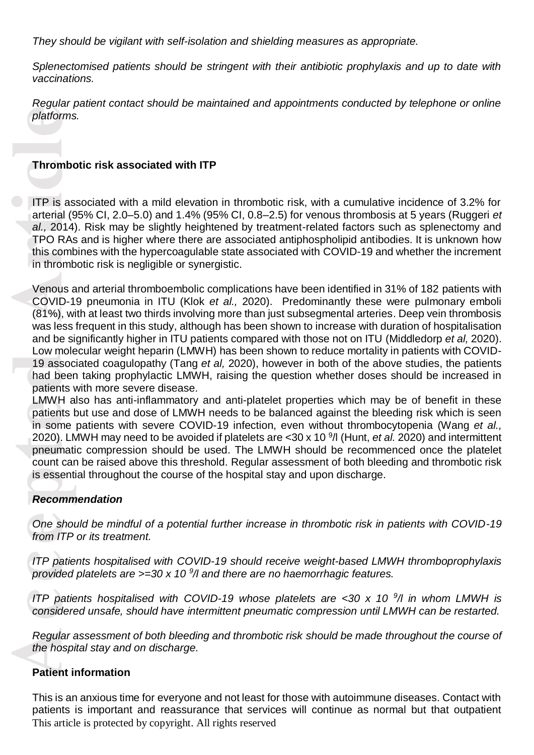*They should be vigilant with self-isolation and shielding measures as appropriate.*

*Splenectomised patients should be stringent with their antibiotic prophylaxis and up to date with vaccinations.* 

*Regular patient contact should be maintained and appointments conducted by telephone or online platforms.*

## **Thrombotic risk associated with ITP**

ITP is associated with a mild elevation in thrombotic risk, with a cumulative incidence of 3.2% for arterial (95% CI, 2.0 –5.0) and 1.4% (95% CI, 0.8 –2.5) for venous thrombosis at 5 years (Ruggeri *et*  al., 2014). Risk may be slightly heightened by treatment-related factors such as splenectomy and TPO RAs and is higher where there are associated antiphospholipid antibodies. It is unknown how this combines with the hypercoagulable state associated with COVID -19 and whether the increment in thrombotic risk is negligible or synergistic.

**Accessing the Set of Article Set of Article Set of Article Set of Article Set of Article Set of Article Set of Article Set of Article Set of Article Set of Article Set of Article Set of Article Set of Article Set of Artic** Venous and arterial thromboembolic complications have been identified in 31% of 182 patients with COVID -19 pneumonia in ITU (Klok *et al.,* 2020). Predominantly these were pulmonary emboli (81%), with at least two thirds involving more than just subsegmental arteries. Deep vein thrombosis was less frequent in this study, although has been shown to increase with duration of hospitalisation and be significantly higher in ITU patients compared with those not on ITU (Middledorp *et al,* 2020). Low molecular weight heparin (LMWH) has been shown to reduce mortality in patients with COVID - 19 associated coagulopathy (Tang *et al,* 2020), however in both of the above studies, the patients had been taking prophylactic LMWH, raising the question whether doses should be increased in patients with more severe disease.

LMWH also has anti-inflammatory and anti-platelet properties which may be of benefit in these patients but use and dose of LMWH needs to be balanced against the bleeding risk which is seen in some patients with severe COVID-19 infection, even without thrombocytopenia (Wang et al., 2020) . LMWH may need to be avoided if platelets are <30 x 10 9 /l (Hunt, *et al.* 2020) and intermittent pneumatic compression should be used . The LMWH should be recommenced once the platelet count can be raised above this threshold. Regular assessment of both bleeding and thrombotic risk is essential throughout the course of the hospital stay and upon discharge.

#### *Recommendation*

*One should be mindful of a potential further increase in thrombotic risk in patients with COVID -19 from ITP or its treatment.*

*ITP patients hospitalised with COVID -19 should receive weight -based LMWH thromboprophylaxis provided platelets are >=30 x 10 9 /l and there are no haemorrhagic features.*

*ITP patients hospitalised with COVID-19 whose platelets are <30 x 10*  $\frac{9}{1}$  *in whom LMWH is considered unsafe, should have intermittent pneumatic compression until LMWH can be restarted.*

*Regular assessment of both bleeding and thrombotic risk should be made throughout the course of the hospital stay and on discharge.*

## **Patient information**

This article is protected by copyright. All rights reserved This is an anxious time for everyone and not least for those with autoimmune diseases. Contact with patients is important and reassurance that services will continue as normal but that outpatient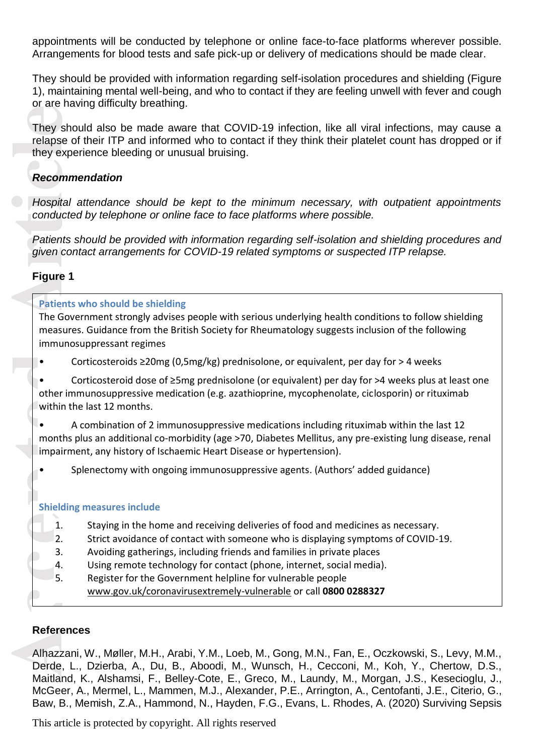appointments will be conducted by telephone or online face-to-face platforms wherever possible. Arrangements for blood tests and safe pick -up or delivery of medications should be made clear.

They should be provided with information regarding self -isolation procedures and shielding (Figure 1), maintaining mental well -being, and who to contact if they are feeling unwell with fever and cough or are having difficulty breathing.

They should also be made aware that COVID -19 infection, like all viral infections, may cause a relapse of their ITP and informed who to contact if they think their platelet count has dropped or if they experience bleeding or unusual bruising.

## *Recommendation*

*Hospital attendance should be kept to the minimum necessary, with outpatient appointments conducted by telephone or online face to face platforms where possible.*

*Patients should be provided with information regarding self -isolation and shielding procedures and*  given contact arrangements for COVID-19 related symptoms or suspected ITP relapse.

## **Figure 1**

# They show relapse of they experience they experience they experience of the spital conducte Patients spiven corresponding to the rim within the spital maths impairm of the shielding 1.<br>
Shielding 1.<br>
2. 3. 4. 5. Conducte t **Patients who should be shielding** The Government strongly advises people with serious underlying health conditions to follow shielding measures. Guidance from the British Society for Rheumatology suggest s inclusion of the following immunosuppressant regimes Corticosteroids ≥20mg (0,5mg/kg) prednisolone, or equivalent, per day for > 4 weeks<br>Corticosteroid dose of ≥5mg prednisolone (or equivalent) per day for >4 weeks plus at least one other immunosuppressive medication (e.g. azathioprine, mycophenolate, ciclosporin) or rituximab within the last 12 months. • A combination of 2 immunosuppressive medications including rituximab within the last 12 months plus an additional co-morbidity (age >70, Diabetes Mellitus, any pre-existing lung disease, renal impairment, any history of Ischaemic Heart Disease or hypertension). • Splenectomy with ongoing immunosuppressive agents. (Authors' added guidance) **Shielding measures include** 1. Staying in the home and receiving deliveries of food and medicines as necessary. 2. Strict avoidance of contact with someone who is displaying symptoms of COVID -19. 3. Avoiding gatherings, including friends and families in private places 4. Using remote technology for contact (phone, internet, social media). 5. Register for the Government helpline for vulnerable people [www.gov.uk/coronavirusextremely](http://www.gov.uk/coronavirusextremely-vulnerable) -vulnerable or call **0800 0288327**

## **References**

Alhazzani, W., Møller, M.H., Arabi, Y.M., Loeb, M., Gong, M.N., Fan, E., Oczkowski, S., Levy, M.M., Derde, L., Dzierba, A., Du, B., Aboodi, M., Wunsch, H., Cecconi, M., Koh, Y., Chertow, D.S., Maitland, K., Alshamsi, F., Belley-Cote, E., Greco, M., Laundy, M., Morgan, J.S., Kesecioglu, J., McGeer, A., Mermel, L., Mammen, M.J., Alexander, P.E., Arrington, A., Centofanti, J.E., Citerio, G., Baw, B., Memish, Z.A., Hammond, N., Hayden, F.G., Evans, L. Rhodes, A. (2020) Surviving Sepsis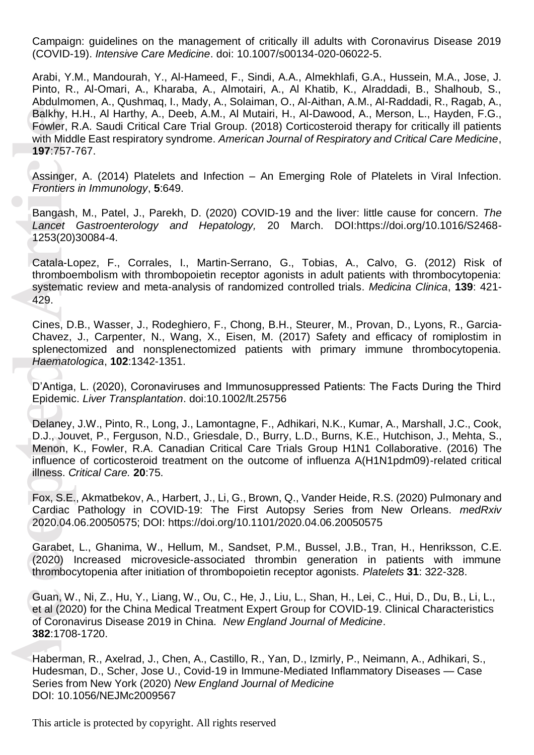Campaign: guidelines on the management of critically ill adults with Coronavirus Disease 2019 (COVID -19). *Intensive Care Medicine*. doi: 10.1007/s00134 -020 -06022 -5.

Arabi, Y.M., Mandourah, Y., Al-Hameed, F., Sindi, A.A., Almekhlafi, G.A., Hussein, M.A., Jose, J. Pinto, R., Al -Omari, A., Kharaba, A., Almotairi, A., Al Khatib, K., Alraddadi, B., Shalhoub, S., Abdulmomen, A., Qushmaq, I., Mady, A., Solaiman, O., Al-Aithan, A.M., Al-Raddadi, R., Ragab, A., Balkhy, H.H., Al Harthy, A., Deeb, A.M., Al Mutairi, H., Al-Dawood, A., Merson, L., Hayden, F.G., Fowler, R.A. Saudi Critical Care Trial Group. (2018) Corticosteroid therapy for critically ill patients with Middle East respiratory syndrome. *American Journal of Respiratory and Critical Care Medicine*, **197**:757 -767.

Assinger, A. (2014) Platelets and Infection – An Emerging Role of Platelets in Viral Infection. *Frontiers in Immunology*, **5**:649.

Bangash, M., Patel, J., Parekh, D. (2020) COVID-19 and the liver: little cause for concern. *The* Lancet Gastroenterology and Hepatology, 20 March. DOI:https://doi.org/10.1016/S2468-1253(20)30084 -4.

Catala-Lopez, F., Corrales, I., Martin-Serrano, G., Tobias, A., Calvo, G. (2012) Risk of thromboembolism with thrombopoietin receptor agonists in adult patients with thrombocytopenia: systematic review and meta-analysis of randomized controlled trials. Medicina Clinica, 139: 421-429.

Cines, D.B., Wasser, J., Rodeghiero, F., Chong, B.H., Steurer, M., Provan, D., Lyons, R., Garcia-Chavez, J., Carpenter, N., Wang, X., Eisen, M. (2017) Safety and efficacy of romiplostim in splenectomized and nonsplenectomized patients with primary immune thrombocytopenia. *Haematologica*, **102**:1342 -1351.

D'Antiga, L. (2020), Coronaviruses and Immunosuppressed Patients: The Facts During the Third Epidemic. *Liver Transplantation*. doi[:10.1002/lt.25756](https://doi.org/10.1002/lt.25756)

Balkhy, Fowler, Fowler, Fowler, Fowler, Fourth Midd<br>
197:757-<br>
Assinger, Frontiers<br>
Bangash<br>
Lancet<br>
1253(20)<br>
Catala-Lothromboe<br>
systemat<br>
429.<br>
Cines, D.<br>
Chavez, splenect<br>
Haemato<br>
D'Antiga, Epidemic<br>
D'Antiga, Epidemic Delaney, J.W., Pinto, R., Long, J., Lamontagne, F., Adhikari, N.K., Kumar, A., Marshall, J.C., Cook, D.J., Jouvet, P., Ferguson, N.D., Griesdale, D., Burry, L.D., Burns, K.E., Hutchison, J., Mehta, S., Menon, K., Fowler, R.A. Canadian Critical Care Trials Group H1N1 Collaborative. (2016) The influence of corticosteroid treatment on the outcome of influenza A(H1N1pdm09) -related critical illness. *Critical Care.* **20**:75.

Fox, S.E., Akmatbekov, A., Harbert, J., Li, G., Brown, Q., Vander Heide, R.S. (2020) Pulmonary and Cardiac Pathology in COVID -19: The First Autopsy Series from New Orleans. *medRxiv* 2020.04.06.20050575; DOI: https://doi.org/10.1101/2020.04.06.20050575

Garabet, L., Ghanima, W., Hellum, M., Sandset, P.M., Bussel, J.B., Tran, H., Henriksson, C.E. (2020) Increased microvesicle -associated thrombin generation in patients with immune thrombocytopenia after initiation of thrombopoietin receptor agonists. *Platelets* **31** : 322 -328 .

Guan, W., Ni, Z., Hu, Y., Liang, W., Ou, C., He, J., Liu, L., Shan, H., Lei, C., Hui, D., Du, B., Li, L., et al (2020) for the China Medical Treatment Expert Group for COVID -19. Clinical Characteristics of Coronavirus Disease 2019 in China. *New England Journal of Medicine*. **382**:1708 -1720 .

Haberman, R., Axelrad, J., Chen, A., Castillo, R., Yan, D., Izmirly, P., Neimann, A., Adhikari, S., Hudesman, D., Scher, Jose U., Covid -19 in Immune -Mediated Inflammatory Diseases — Case Series from New York (2020) *New England Journal of Medicine* DOI: 10.1056/NEJMc2009567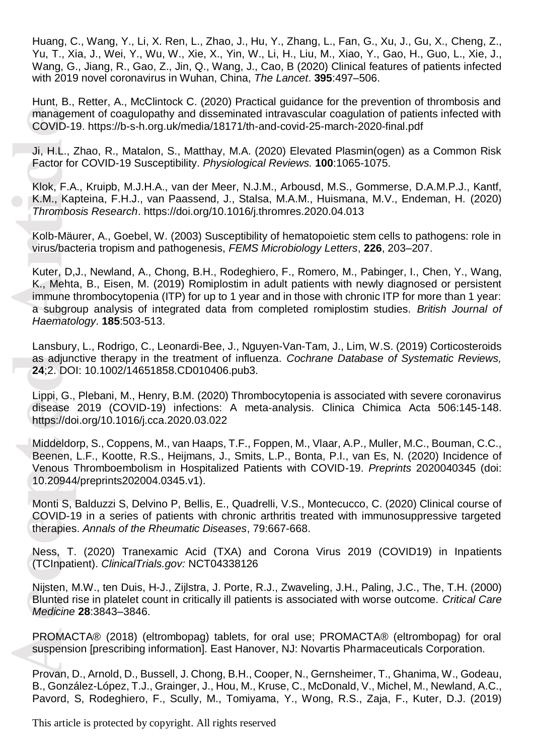Huang, C., Wang, Y., Li, X. Ren, L., Zhao, J., Hu, Y., Zhang, L., Fan, G., Xu, J., Gu, X., Cheng, Z., Yu, T., Xia, J., Wei, Y., Wu, W., Xie, X., Yin, W., Li, H., Liu, M., Xiao, Y., Gao, H., Guo, L., Xie, J., Wang, G., Jiang, R., Gao, Z., Jin, Q., Wang, J., Cao, B (2020) Clinical features of patients infected with 2019 novel coronavirus in Wuhan, China, *The Lancet*. **395**:497 –506.

Hunt, B., Retter, A., McClintock C. (2020) Practical guidance for the prevention of thrombosis and management of coagulopathy and disseminated intravascular coagulation of patients infected with COVID-19. https://b-s[-h.org.uk/media/18171/th](https://b-s-h.org.uk/media/18171/th-and-covid-25-march-2020-final.pdf)-and-covid-25-march-2020-final.pdf

Ji, H.L., Zhao, R., Matalon, S., Matthay, M.A. (2020) Elevated Plasmin(ogen) as a Common Risk Factor for COVID -19 Susceptibility. *Physiological Reviews.* **100**:1065 -1075.

Klok, F.A., Kruipb, M.J.H.A., van der Meer, N.J.M., Arbousd, M.S., Gommerse, D.A.M.P.J., Kantf, K.M., Kapteina, F.H.J., van Paassend, J., Stalsa, M.A.M., Huismana, M.V., Endeman, H. (2020) *Thrombosis Research*.<https://doi.org/10.1016/j.thromres.2020.04.013>

Kolb -Mäurer, A., Goebel, W. (2003) Susceptibility of hematopoietic stem cells to pathogens: role in virus/bacteria tropism and pathogenesis, *FEMS Microbiology Letters*, **226**, 203 –207.

managen<br>
COVID-1<br>
Ji, H.L., Z<br>
Factor fol<br>
Klok, F.A<br>
K.M., Kal<br>
Thrombo<br>
Kolb-Mäu<br>
virus/bac<br>
Kuter, D,<br>
K., Mehta<br>
virus/bac<br>
Kuter, D,<br>
K., Mehta<br>
immune ta subgro<br>
Haemato<br>
Lansbury<br>
as adjune<br>
24;2. DO<br>
Lippi, G.,<br>
di Kuter, D,J., Newland, A., Chong, B.H., Rodeghiero, F., Romero, M., Pabinger, I., Chen, Y., Wang, K., Mehta, B., Eisen, M . (2019) Romiplostim in adult patients with newly diagnosed or persistent immune thrombocytopenia (ITP) for up to 1 year and in those with chronic ITP for more than 1 year: a subgroup analysis of integrated data from completed romiplostim studies. *British Journal of Haematology*. **185**:503 -513.

Lansbury, L., Rodrigo, C., Leonardi-Bee, J., Nguyen-Van-Tam, J., Lim, W.S. (2019) Corticosteroids as adjunctive therapy in the treatment of influenza. *Cochrane Database of Systematic Reviews,* **24**;2. DOI: 10.1002/14651858.CD010406.pub3.

Lippi, G., Plebani, M., Henry, B.M. (2020) Thrombocytopenia is associated with severe coronavirus disease 2019 (COVID-19) infections: A meta-analysis. Clinica Chimica Acta 506:145-148. <https://doi.org/10.1016/j.cca.2020.03.022>

Middeldorp, S., Coppens, M., van Haaps, T.F., Foppen, M. , Vlaar, A.P. , Muller, M.C. , Bouman, C.C. , Beenen, L.F., Kootte, R.S., Heijmans, J., Smits, L.P., Bonta, P.I., van Es, N. (2020) Incidence of Venous Thromboembolism in Hospitalized Patients with COVID -19. *Preprints* 2020040345 (doi: 10.20944/preprints202004.0345.v1).

Monti S, Balduzzi S, Delvino P, Bellis, E., Quadrelli, V.S., Montecucco, C. (2020) Clinical course of COVID -19 in a series of patients with chronic arthritis treated with immunosuppressive targeted therapies. *Annals of the Rheumatic Diseases*, 79:667 -668.

Ness , T. (2020) Tranexamic Acid (TXA) and Corona Virus 2019 (COVID19) in Inpatients (TCInpatient). *ClinicalTrials.gov:* NCT04338126

Nijsten, M.W., ten Duis, H-J., Zijlstra, J. Porte, R.J., Zwaveling, J.H., Paling, J.C., The, T.H. (2000) Blunted rise in platelet count in critically ill patients is associated with worse outcome. *Critical Care Medicine* **28**:3843 –3846.

PROMACTA® (2018) (eltrombopag) tablets, for oral use; PROMACTA® (eltrombopag) for oral suspension [prescribing information]. East Hanover, NJ: Novartis Pharmaceuticals Corporation.

Provan, D., Arnold, D., Bussell, J. Chong, B.H., Cooper, N., Gernsheimer, T., Ghanima, W., Godeau, B., González-López, T.J., Grainger, J., Hou, M., Kruse, C., McDonald, V., Michel, M., Newland, A.C., Pavord, S, Rodeghiero, F., Scully, M., Tomiyama, Y., Wong, R.S., Zaja, F., Kuter, D.J. (2019)